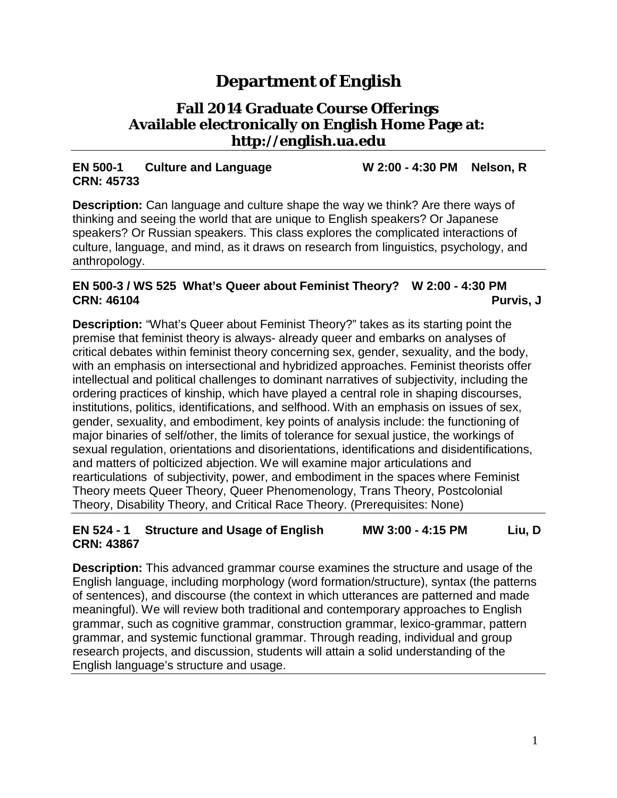# **Department of English**

# **Fall 2014 Graduate Course Offerings Available electronically on English Home Page at: [http://english.ua.edu](http://english.ua.edu/)**

#### **EN 500-1 Culture and Language W 2:00 - 4:30 PM Nelson, R CRN: 45733**

**Description:** Can language and culture shape the way we think? Are there ways of thinking and seeing the world that are unique to English speakers? Or Japanese speakers? Or Russian speakers. This class explores the complicated interactions of culture, language, and mind, as it draws on research from linguistics, psychology, and anthropology.

#### **EN 500-3 / WS 525 What's Queer about Feminist Theory? W 2:00 - 4:30 PM CRN: 46104 Purvis, J**

**Description:** "What's Queer about Feminist Theory?" takes as its starting point the premise that feminist theory is always- already queer and embarks on analyses of critical debates within feminist theory concerning sex, gender, sexuality, and the body, with an emphasis on intersectional and hybridized approaches. Feminist theorists offer intellectual and political challenges to dominant narratives of subjectivity, including the ordering practices of kinship, which have played a central role in shaping discourses, institutions, politics, identifications, and selfhood. With an emphasis on issues of sex, gender, sexuality, and embodiment, key points of analysis include: the functioning of major binaries of self/other, the limits of tolerance for sexual justice, the workings of sexual regulation, orientations and disorientations, identifications and disidentifications, and matters of polticized abjection. We will examine major articulations and rearticulations of subjectivity, power, and embodiment in the spaces where Feminist Theory meets Queer Theory, Queer Phenomenology, Trans Theory, Postcolonial Theory, Disability Theory, and Critical Race Theory. (Prerequisites: None)

#### **EN 524 - 1 Structure and Usage of English MW 3:00 - 4:15 PM Liu, D CRN: 43867**

**Description:** This advanced grammar course examines the structure and usage of the English language, including morphology (word formation/structure), syntax (the patterns of sentences), and discourse (the context in which utterances are patterned and made meaningful). We will review both traditional and contemporary approaches to English grammar, such as cognitive grammar, construction grammar, lexico-grammar, pattern grammar, and systemic functional grammar. Through reading, individual and group research projects, and discussion, students will attain a solid understanding of the English language's structure and usage.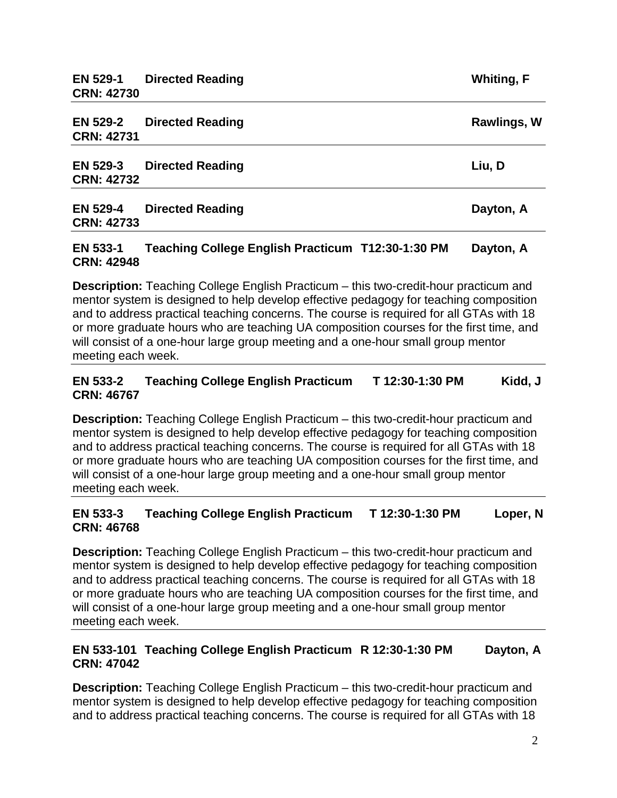| <b>EN 529-2</b><br><b>CRN: 42731</b> | <b>Directed Reading</b> | Rawlings, W |
|--------------------------------------|-------------------------|-------------|
| <b>EN 529-3</b><br><b>CRN: 42732</b> | <b>Directed Reading</b> | Liu, D      |
| <b>EN 529-4</b><br><b>CRN: 42733</b> | <b>Directed Reading</b> | Dayton, A   |

#### **EN 533-1 Teaching College English Practicum T12:30-1:30 PM Dayton, A CRN: 42948**

**Description:** Teaching College English Practicum – this two-credit-hour practicum and mentor system is designed to help develop effective pedagogy for teaching composition and to address practical teaching concerns. The course is required for all GTAs with 18 or more graduate hours who are teaching UA composition courses for the first time, and will consist of a one-hour large group meeting and a one-hour small group mentor meeting each week.

#### **EN 533-2 Teaching College English Practicum T 12:30-1:30 PM Kidd, J CRN: 46767**

**Description:** Teaching College English Practicum – this two-credit-hour practicum and mentor system is designed to help develop effective pedagogy for teaching composition and to address practical teaching concerns. The course is required for all GTAs with 18 or more graduate hours who are teaching UA composition courses for the first time, and will consist of a one-hour large group meeting and a one-hour small group mentor meeting each week.

#### **EN 533-3 Teaching College English Practicum T 12:30-1:30 PM Loper, N CRN: 46768**

**Description:** Teaching College English Practicum – this two-credit-hour practicum and mentor system is designed to help develop effective pedagogy for teaching composition and to address practical teaching concerns. The course is required for all GTAs with 18 or more graduate hours who are teaching UA composition courses for the first time, and will consist of a one-hour large group meeting and a one-hour small group mentor meeting each week.

#### **EN 533-101 Teaching College English Practicum R 12:30-1:30 PM Dayton, A CRN: 47042**

**Description:** Teaching College English Practicum – this two-credit-hour practicum and mentor system is designed to help develop effective pedagogy for teaching composition and to address practical teaching concerns. The course is required for all GTAs with 18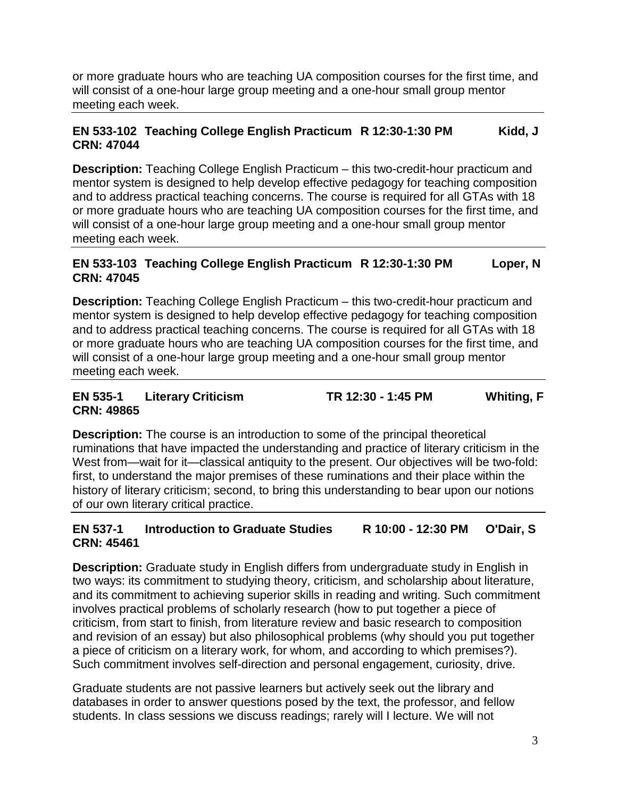or more graduate hours who are teaching UA composition courses for the first time, and will consist of a one-hour large group meeting and a one-hour small group mentor meeting each week.

#### **EN 533-102 Teaching College English Practicum R 12:30-1:30 PM Kidd, J CRN: 47044**

**Description:** Teaching College English Practicum – this two-credit-hour practicum and mentor system is designed to help develop effective pedagogy for teaching composition and to address practical teaching concerns. The course is required for all GTAs with 18 or more graduate hours who are teaching UA composition courses for the first time, and will consist of a one-hour large group meeting and a one-hour small group mentor meeting each week.

#### **EN 533-103 Teaching College English Practicum R 12:30-1:30 PM Loper, N CRN: 47045**

**Description:** Teaching College English Practicum – this two-credit-hour practicum and mentor system is designed to help develop effective pedagogy for teaching composition and to address practical teaching concerns. The course is required for all GTAs with 18 or more graduate hours who are teaching UA composition courses for the first time, and will consist of a one-hour large group meeting and a one-hour small group mentor meeting each week.

#### **EN 535-1 Literary Criticism TR 12:30 - 1:45 PM Whiting, F CRN: 49865**

**Description:** The course is an introduction to some of the principal theoretical ruminations that have impacted the understanding and practice of literary criticism in the West from—wait for it—classical antiquity to the present. Our objectives will be two-fold: first, to understand the major premises of these ruminations and their place within the history of literary criticism; second, to bring this understanding to bear upon our notions of our own literary critical practice.

#### **EN 537-1 Introduction to Graduate Studies R 10:00 - 12:30 PM O'Dair, S CRN: 45461**

**Description:** Graduate study in English differs from undergraduate study in English in two ways: its commitment to studying theory, criticism, and scholarship about literature, and its commitment to achieving superior skills in reading and writing. Such commitment involves practical problems of scholarly research (how to put together a piece of criticism, from start to finish, from literature review and basic research to composition and revision of an essay) but also philosophical problems (why should you put together a piece of criticism on a literary work, for whom, and according to which premises?). Such commitment involves self-direction and personal engagement, curiosity, drive.

Graduate students are not passive learners but actively seek out the library and databases in order to answer questions posed by the text, the professor, and fellow students. In class sessions we discuss readings; rarely will I lecture. We will not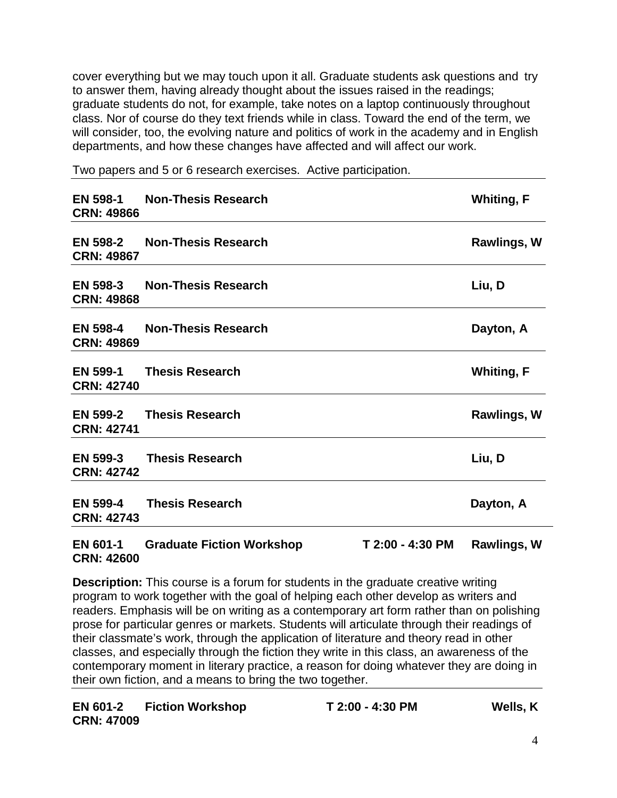cover everything but we may touch upon it all. Graduate students ask questions and try to answer them, having already thought about the issues raised in the readings; graduate students do not, for example, take notes on a laptop continuously throughout class. Nor of course do they text friends while in class. Toward the end of the term, we will consider, too, the evolving nature and politics of work in the academy and in English departments, and how these changes have affected and will affect our work.

**EN 598-1 Non-Thesis Research Whiting, F CRN: 49866 EN 598-2 Non-Thesis Research Rawlings, W CRN: 49867 EN 598-3 Non-Thesis Research Liu, D CRN: 49868 EN 598-4 Non-Thesis Research Dayton, A CRN: 49869 EN 599-1 Thesis Research Whiting, F CRN: 42740 EN 599-2 Thesis Research Rawlings, W CRN: 42741 EN 599-3 Thesis Research Liu, D CRN: 42742 EN 599-4 Thesis Research Dayton, A CRN: 42743 EN 601-1 Graduate Fiction Workshop T 2:00 - 4:30 PM Rawlings, W**

Two papers and 5 or 6 research exercises. Active participation.

# **CRN: 42600**

**Description:** This course is a forum for students in the graduate creative writing program to work together with the goal of helping each other develop as writers and readers. Emphasis will be on writing as a contemporary art form rather than on polishing prose for particular genres or markets. Students will articulate through their readings of their classmate's work, through the application of literature and theory read in other classes, and especially through the fiction they write in this class, an awareness of the contemporary moment in literary practice, a reason for doing whatever they are doing in their own fiction, and a means to bring the two together.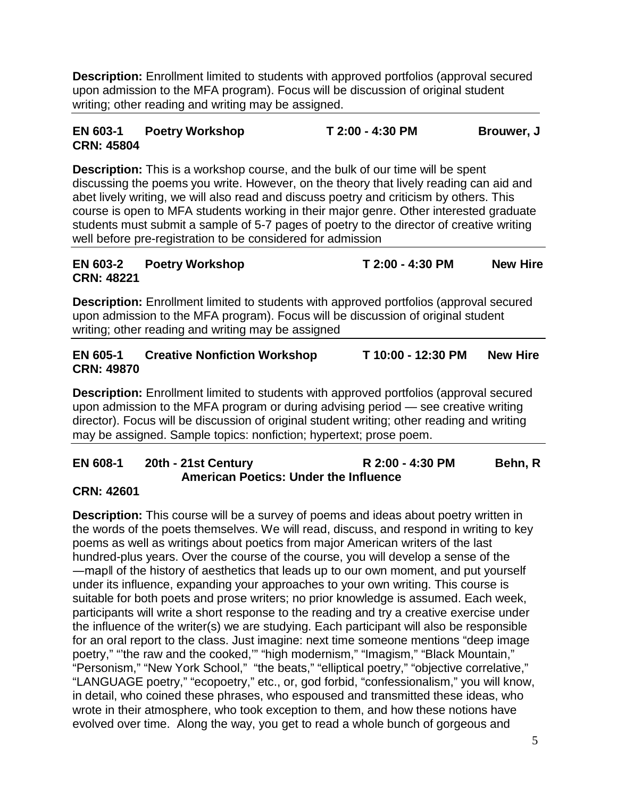**Description:** Enrollment limited to students with approved portfolios (approval secured upon admission to the MFA program). Focus will be discussion of original student writing; other reading and writing may be assigned.

### **EN 603-1 Poetry Workshop T 2:00 - 4:30 PM Brouwer, J CRN: 45804**

**Description:** This is a workshop course, and the bulk of our time will be spent discussing the poems you write. However, on the theory that lively reading can aid and abet lively writing, we will also read and discuss poetry and criticism by others. This course is open to MFA students working in their major genre. Other interested graduate students must submit a sample of 5-7 pages of poetry to the director of creative writing well before pre-registration to be considered for admission

#### **EN 603-2 Poetry Workshop T 2:00 - 4:30 PM New Hire CRN: 48221**

**Description:** Enrollment limited to students with approved portfolios (approval secured upon admission to the MFA program). Focus will be discussion of original student writing; other reading and writing may be assigned

## **EN 605-1 Creative Nonfiction Workshop T 10:00 - 12:30 PM New Hire CRN: 49870**

**Description:** Enrollment limited to students with approved portfolios (approval secured upon admission to the MFA program or during advising period — see creative writing director). Focus will be discussion of original student writing; other reading and writing may be assigned. Sample topics: nonfiction; hypertext; prose poem.

### **EN 608-1 20th - 21st Century R 2:00 - 4:30 PM Behn, R American Poetics: Under the Influence**

### **CRN: 42601**

**Description:** This course will be a survey of poems and ideas about poetry written in the words of the poets themselves. We will read, discuss, and respond in writing to key poems as well as writings about poetics from major American writers of the last hundred-plus years. Over the course of the course, you will develop a sense of the ―map‖ of the history of aesthetics that leads up to our own moment, and put yourself under its influence, expanding your approaches to your own writing. This course is suitable for both poets and prose writers; no prior knowledge is assumed. Each week, participants will write a short response to the reading and try a creative exercise under the influence of the writer(s) we are studying. Each participant will also be responsible for an oral report to the class. Just imagine: next time someone mentions "deep image poetry," "the raw and the cooked," "high modernism," "Imagism," "Black Mountain," "Personism," "New York School," "the beats," "elliptical poetry," "objective correlative," "LANGUAGE poetry," "ecopoetry," etc., or, god forbid, "confessionalism," you will know, in detail, who coined these phrases, who espoused and transmitted these ideas, who wrote in their atmosphere, who took exception to them, and how these notions have evolved over time. Along the way, you get to read a whole bunch of gorgeous and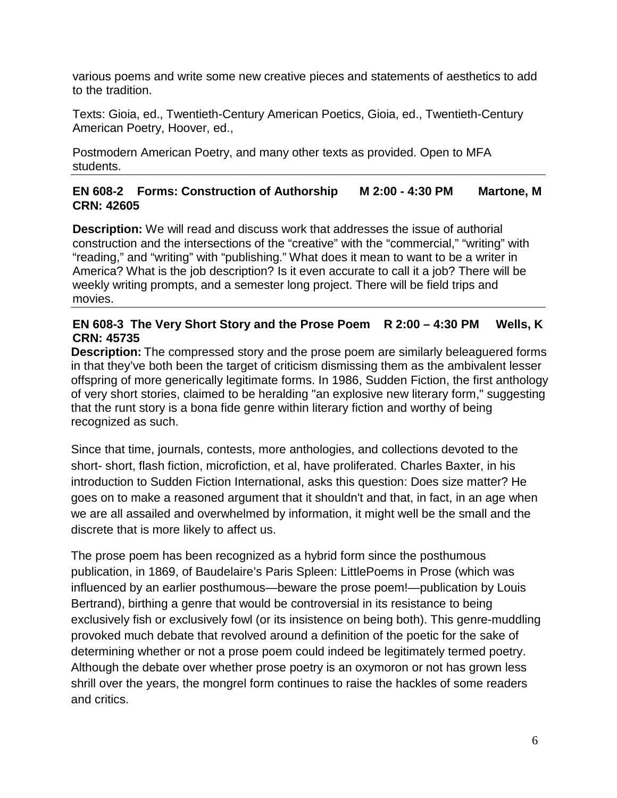various poems and write some new creative pieces and statements of aesthetics to add to the tradition.

Texts: Gioia, ed., Twentieth-Century American Poetics, Gioia, ed., Twentieth-Century American Poetry, Hoover, ed.,

Postmodern American Poetry, and many other texts as provided. Open to MFA students.

#### **EN 608-2 Forms: Construction of Authorship M 2:00 - 4:30 PM Martone, M CRN: 42605**

**Description:** We will read and discuss work that addresses the issue of authorial construction and the intersections of the "creative" with the "commercial," "writing" with "reading," and "writing" with "publishing." What does it mean to want to be a writer in America? What is the job description? Is it even accurate to call it a job? There will be weekly writing prompts, and a semester long project. There will be field trips and movies.

#### **EN 608-3 The Very Short Story and the Prose Poem R 2:00 – 4:30 PM Wells, K CRN: 45735**

**Description:** The compressed story and the prose poem are similarly beleaguered forms in that they've both been the target of criticism dismissing them as the ambivalent lesser offspring of more generically legitimate forms. In 1986, Sudden Fiction, the first anthology of very short stories, claimed to be heralding "an explosive new literary form," suggesting that the runt story is a bona fide genre within literary fiction and worthy of being recognized as such.

Since that time, journals, contests, more anthologies, and collections devoted to the short- short, flash fiction, microfiction, et al, have proliferated. Charles Baxter, in his introduction to Sudden Fiction International, asks this question: Does size matter? He goes on to make a reasoned argument that it shouldn't and that, in fact, in an age when we are all assailed and overwhelmed by information, it might well be the small and the discrete that is more likely to affect us.

The prose poem has been recognized as a hybrid form since the posthumous publication, in 1869, of Baudelaire's Paris Spleen: LittlePoems in Prose (which was influenced by an earlier posthumous—beware the prose poem!—publication by Louis Bertrand), birthing a genre that would be controversial in its resistance to being exclusively fish or exclusively fowl (or its insistence on being both). This genre-muddling provoked much debate that revolved around a definition of the poetic for the sake of determining whether or not a prose poem could indeed be legitimately termed poetry. Although the debate over whether prose poetry is an oxymoron or not has grown less shrill over the years, the mongrel form continues to raise the hackles of some readers and critics.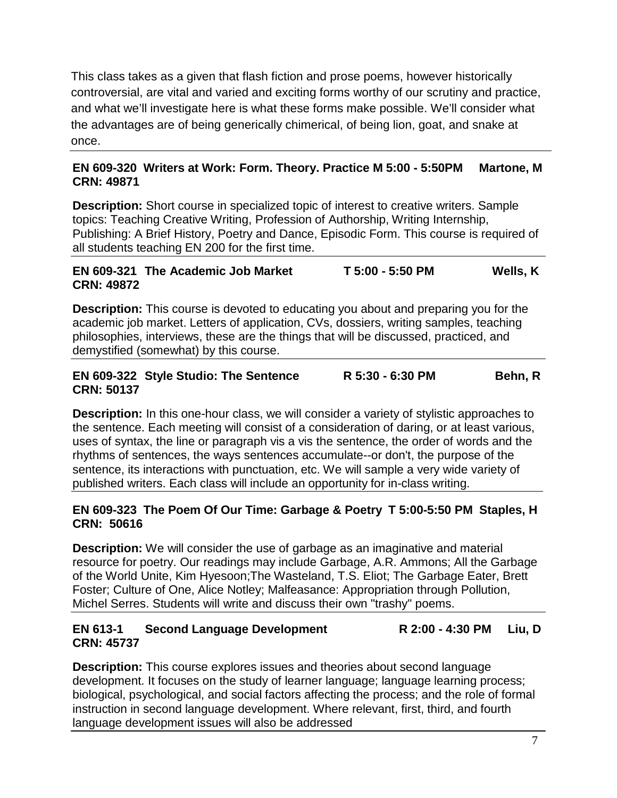This class takes as a given that flash fiction and prose poems, however historically controversial, are vital and varied and exciting forms worthy of our scrutiny and practice, and what we'll investigate here is what these forms make possible. We'll consider what the advantages are of being generically chimerical, of being lion, goat, and snake at once.

#### **EN 609-320 Writers at Work: Form. Theory. Practice M 5:00 - 5:50PM Martone, M CRN: 49871**

**Description:** Short course in specialized topic of interest to creative writers. Sample topics: Teaching Creative Writing, Profession of Authorship, Writing Internship, Publishing: A Brief History, Poetry and Dance, Episodic Form. This course is required of all students teaching EN 200 for the first time.

#### **EN 609-321 The Academic Job Market T 5:00 - 5:50 PM Wells, K CRN: 49872**

**Description:** This course is devoted to educating you about and preparing you for the academic job market. Letters of application, CVs, dossiers, writing samples, teaching philosophies, interviews, these are the things that will be discussed, practiced, and demystified (somewhat) by this course.

#### **EN 609-322 Style Studio: The Sentence R 5:30 - 6:30 PM Behn, R CRN: 50137**

**Description:** In this one-hour class, we will consider a variety of stylistic approaches to the sentence. Each meeting will consist of a consideration of daring, or at least various, uses of syntax, the line or paragraph vis a vis the sentence, the order of words and the rhythms of sentences, the ways sentences accumulate--or don't, the purpose of the sentence, its interactions with punctuation, etc. We will sample a very wide variety of published writers. Each class will include an opportunity for in-class writing.

#### **EN 609-323 The Poem Of Our Time: Garbage & Poetry T 5:00-5:50 PM Staples, H CRN: 50616**

**Description:** We will consider the use of garbage as an imaginative and material resource for poetry. Our readings may include Garbage, A.R. Ammons; All the Garbage of the World Unite, Kim Hyesoon;The Wasteland, T.S. Eliot; The Garbage Eater, Brett Foster; Culture of One, Alice Notley; Malfeasance: Appropriation through Pollution, Michel Serres. Students will write and discuss their own "trashy" poems.

# **EN 613-1 Second Language Development R 2:00 - 4:30 PM Liu, D CRN: 45737**

**Description:** This course explores issues and theories about second language development. It focuses on the study of learner language; language learning process; biological, psychological, and social factors affecting the process; and the role of formal instruction in second language development. Where relevant, first, third, and fourth language development issues will also be addressed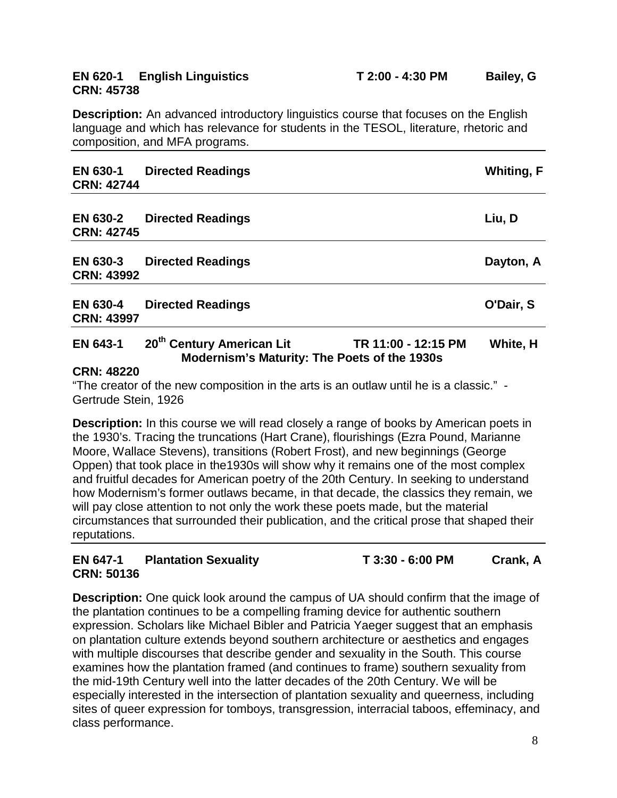# **CRN: 45738**

**Description:** An advanced introductory linguistics course that focuses on the English language and which has relevance for students in the TESOL, literature, rhetoric and composition, and MFA programs.

| EN 630-1<br><b>CRN: 42744</b>        | <b>Directed Readings</b>                                                              |                     | <b>Whiting, F</b> |
|--------------------------------------|---------------------------------------------------------------------------------------|---------------------|-------------------|
| <b>EN 630-2</b><br><b>CRN: 42745</b> | <b>Directed Readings</b>                                                              |                     | Liu, D            |
| <b>EN 630-3</b><br><b>CRN: 43992</b> | <b>Directed Readings</b>                                                              |                     | Dayton, A         |
| <b>EN 630-4</b><br><b>CRN: 43997</b> | <b>Directed Readings</b>                                                              |                     | O'Dair, S         |
| <b>EN 643-1</b>                      | 20 <sup>th</sup> Century American Lit<br>Modernism's Maturity: The Poets of the 1930s | TR 11:00 - 12:15 PM | White, H          |

#### **CRN: 48220**

"The creator of the new composition in the arts is an outlaw until he is a classic." - Gertrude Stein, 1926

**Description:** In this course we will read closely a range of books by American poets in the 1930's. Tracing the truncations (Hart Crane), flourishings (Ezra Pound, Marianne Moore, Wallace Stevens), transitions (Robert Frost), and new beginnings (George Oppen) that took place in the1930s will show why it remains one of the most complex and fruitful decades for American poetry of the 20th Century. In seeking to understand how Modernism's former outlaws became, in that decade, the classics they remain, we will pay close attention to not only the work these poets made, but the material circumstances that surrounded their publication, and the critical prose that shaped their reputations.

### **EN 647-1 Plantation Sexuality T 3:30 - 6:00 PM Crank, A CRN: 50136**

**Description:** One quick look around the campus of UA should confirm that the image of the plantation continues to be a compelling framing device for authentic southern expression. Scholars like Michael Bibler and Patricia Yaeger suggest that an emphasis on plantation culture extends beyond southern architecture or aesthetics and engages with multiple discourses that describe gender and sexuality in the South. This course examines how the plantation framed (and continues to frame) southern sexuality from the mid-19th Century well into the latter decades of the 20th Century. We will be especially interested in the intersection of plantation sexuality and queerness, including sites of queer expression for tomboys, transgression, interracial taboos, effeminacy, and class performance.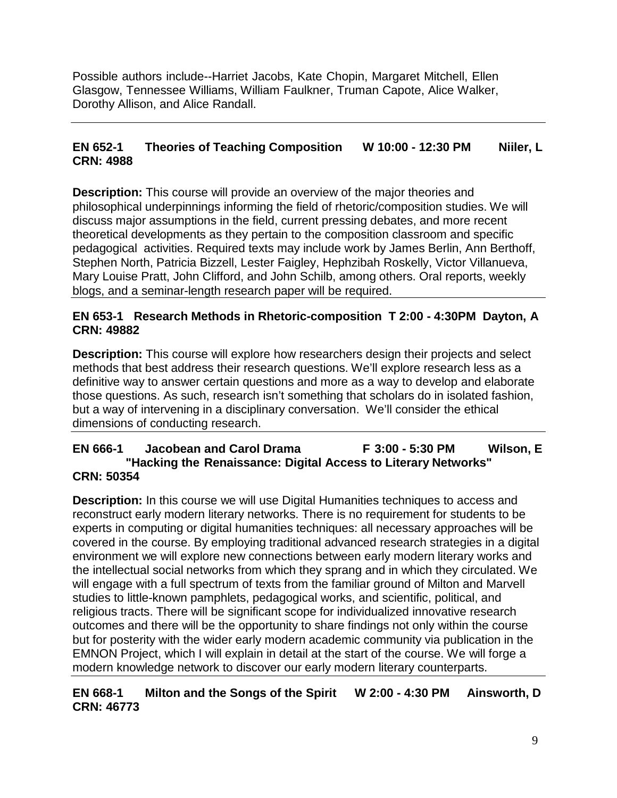Possible authors include--Harriet Jacobs, Kate Chopin, Margaret Mitchell, Ellen Glasgow, Tennessee Williams, William Faulkner, Truman Capote, Alice Walker, Dorothy Allison, and Alice Randall.

## **EN 652-1 Theories of Teaching Composition W 10:00 - 12:30 PM Niiler, L CRN: 4988**

**Description:** This course will provide an overview of the major theories and philosophical underpinnings informing the field of rhetoric/composition studies. We will discuss major assumptions in the field, current pressing debates, and more recent theoretical developments as they pertain to the composition classroom and specific pedagogical activities. Required texts may include work by James Berlin, Ann Berthoff, Stephen North, Patricia Bizzell, Lester Faigley, Hephzibah Roskelly, Victor Villanueva, Mary Louise Pratt, John Clifford, and John Schilb, among others. Oral reports, weekly blogs, and a seminar-length research paper will be required.

#### **EN 653-1 Research Methods in Rhetoric-composition T 2:00 - 4:30PM Dayton, A CRN: 49882**

**Description:** This course will explore how researchers design their projects and select methods that best address their research questions. We'll explore research less as a definitive way to answer certain questions and more as a way to develop and elaborate those questions. As such, research isn't something that scholars do in isolated fashion, but a way of intervening in a disciplinary conversation. We'll consider the ethical dimensions of conducting research.

#### **EN 666-1 Jacobean and Carol Drama F 3:00 - 5:30 PM Wilson, E "Hacking the Renaissance: Digital Access to Literary Networks" CRN: 50354**

**Description:** In this course we will use Digital Humanities techniques to access and reconstruct early modern literary networks. There is no requirement for students to be experts in computing or digital humanities techniques: all necessary approaches will be covered in the course. By employing traditional advanced research strategies in a digital environment we will explore new connections between early modern literary works and the intellectual social networks from which they sprang and in which they circulated. We will engage with a full spectrum of texts from the familiar ground of Milton and Marvell studies to little-known pamphlets, pedagogical works, and scientific, political, and religious tracts. There will be significant scope for individualized innovative research outcomes and there will be the opportunity to share findings not only within the course but for posterity with the wider early modern academic community via publication in the EMNON Project, which I will explain in detail at the start of the course. We will forge a modern knowledge network to discover our early modern literary counterparts.

#### **EN 668-1 Milton and the Songs of the Spirit W 2:00 - 4:30 PM Ainsworth, D CRN: 46773**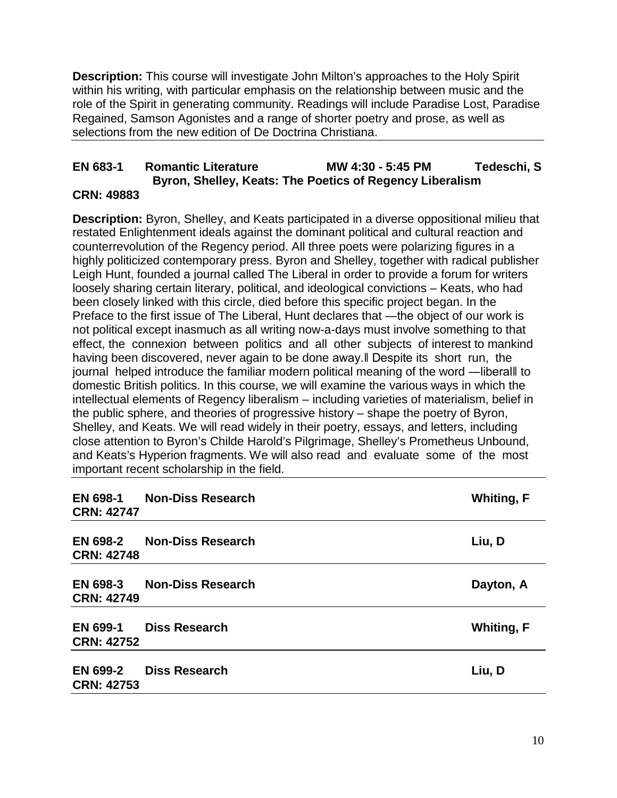**Description:** This course will investigate John Milton's approaches to the Holy Spirit within his writing, with particular emphasis on the relationship between music and the role of the Spirit in generating community. Readings will include Paradise Lost, Paradise Regained, Samson Agonistes and a range of shorter poetry and prose, as well as selections from the new edition of De Doctrina Christiana.

#### **EN 683-1 Romantic Literature MW 4:30 - 5:45 PM Tedeschi, S Byron, Shelley, Keats: The Poetics of Regency Liberalism CRN: 49883**

**Description:** Byron, Shelley, and Keats participated in a diverse oppositional milieu that restated Enlightenment ideals against the dominant political and cultural reaction and counterrevolution of the Regency period. All three poets were polarizing figures in a highly politicized contemporary press. Byron and Shelley, together with radical publisher Leigh Hunt, founded a journal called The Liberal in order to provide a forum for writers loosely sharing certain literary, political, and ideological convictions – Keats, who had been closely linked with this circle, died before this specific project began. In the Preface to the first issue of The Liberal, Hunt declares that —the object of our work is not political except inasmuch as all writing now-a-days must involve something to that effect, the connexion between politics and all other subjects of interest to mankind having been discovered, never again to be done away.‖ Despite its short run, the journal helped introduce the familiar modern political meaning of the word — liberall to domestic British politics. In this course, we will examine the various ways in which the intellectual elements of Regency liberalism – including varieties of materialism, belief in the public sphere, and theories of progressive history – shape the poetry of Byron, Shelley, and Keats. We will read widely in their poetry, essays, and letters, including close attention to Byron's Childe Harold's Pilgrimage, Shelley's Prometheus Unbound, and Keats's Hyperion fragments. We will also read and evaluate some of the most important recent scholarship in the field.

| <b>EN 698-1</b><br><b>CRN: 42747</b> | <b>Non-Diss Research</b> | <b>Whiting, F</b> |
|--------------------------------------|--------------------------|-------------------|
| <b>EN 698-2</b><br><b>CRN: 42748</b> | <b>Non-Diss Research</b> | Liu, D            |
| <b>EN 698-3</b><br><b>CRN: 42749</b> | <b>Non-Diss Research</b> | Dayton, A         |
| <b>EN 699-1</b><br><b>CRN: 42752</b> | <b>Diss Research</b>     | <b>Whiting, F</b> |
| <b>EN 699-2</b><br><b>CRN: 42753</b> | <b>Diss Research</b>     | Liu, D            |
|                                      |                          |                   |